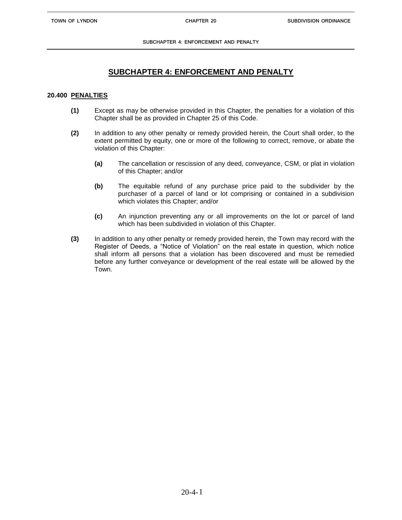**SUBCHAPTER 4: ENFORCEMENT AND PENALTY**

## **SUBCHAPTER 4: ENFORCEMENT AND PENALTY**

## **20.400 PENALTIES**

- **(1)** Except as may be otherwise provided in this Chapter, the penalties for a violation of this Chapter shall be as provided in Chapter 25 of this Code.
- **(2)** In addition to any other penalty or remedy provided herein, the Court shall order, to the extent permitted by equity, one or more of the following to correct, remove, or abate the violation of this Chapter:
	- **(a)** The cancellation or rescission of any deed, conveyance, CSM, or plat in violation of this Chapter; and/or
	- **(b)** The equitable refund of any purchase price paid to the subdivider by the purchaser of a parcel of land or lot comprising or contained in a subdivision which violates this Chapter; and/or
	- **(c)** An injunction preventing any or all improvements on the lot or parcel of land which has been subdivided in violation of this Chapter.
- **(3)** In addition to any other penalty or remedy provided herein, the Town may record with the Register of Deeds, a "Notice of Violation" on the real estate in question, which notice shall inform all persons that a violation has been discovered and must be remedied before any further conveyance or development of the real estate will be allowed by the Town.